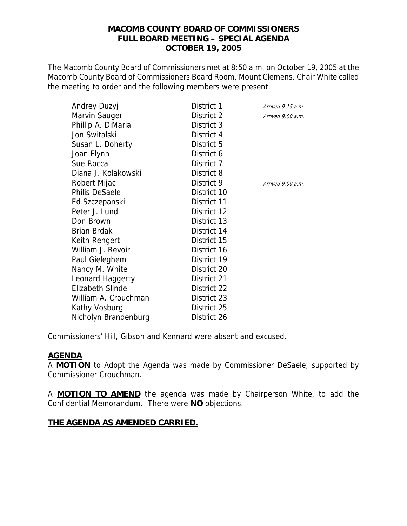# **MACOMB COUNTY BOARD OF COMMISSIONERS FULL BOARD MEETING – SPECIAL AGENDA OCTOBER 19, 2005**

The Macomb County Board of Commissioners met at 8:50 a.m. on October 19, 2005 at the Macomb County Board of Commissioners Board Room, Mount Clemens. Chair White called the meeting to order and the following members were present:

| Andrey Duzyj            | District 1  | Arrived $9:15$ a.m. |
|-------------------------|-------------|---------------------|
| Marvin Sauger           | District 2  | Arrived $9:00$ a.m. |
| Phillip A. DiMaria      | District 3  |                     |
| Jon Switalski           | District 4  |                     |
| Susan L. Doherty        | District 5  |                     |
| Joan Flynn              | District 6  |                     |
| Sue Rocca               | District 7  |                     |
| Diana J. Kolakowski     | District 8  |                     |
| Robert Mijac            | District 9  | Arrived 9:00 a.m.   |
| <b>Philis DeSaele</b>   | District 10 |                     |
| Ed Szczepanski          | District 11 |                     |
| Peter J. Lund           | District 12 |                     |
| Don Brown               | District 13 |                     |
| <b>Brian Brdak</b>      | District 14 |                     |
| Keith Rengert           | District 15 |                     |
| William J. Revoir       | District 16 |                     |
| Paul Gieleghem          | District 19 |                     |
| Nancy M. White          | District 20 |                     |
| Leonard Haggerty        | District 21 |                     |
| <b>Elizabeth Slinde</b> | District 22 |                     |
| William A. Crouchman    | District 23 |                     |
| Kathy Vosburg           | District 25 |                     |
| Nicholyn Brandenburg    | District 26 |                     |

Commissioners' Hill, Gibson and Kennard were absent and excused.

# **AGENDA**

A **MOTION** to Adopt the Agenda was made by Commissioner DeSaele, supported by Commissioner Crouchman.

A **MOTION TO AMEND** the agenda was made by Chairperson White, to add the Confidential Memorandum. There were **NO** objections.

## **THE AGENDA AS AMENDED CARRIED.**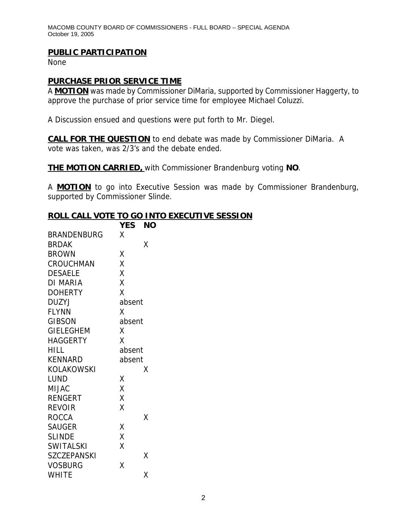MACOMB COUNTY BOARD OF COMMISSIONERS - FULL BOARD – SPECIAL AGENDA October 19, 2005

## **PUBLIC PARTICIPATION**

None

# **PURCHASE PRIOR SERVICE TIME**

A **MOTION** was made by Commissioner DiMaria, supported by Commissioner Haggerty, to approve the purchase of prior service time for employee Michael Coluzzi.

A Discussion ensued and questions were put forth to Mr. Diegel.

**CALL FOR THE QUESTION** to end debate was made by Commissioner DiMaria. A vote was taken, was 2/3's and the debate ended.

**THE MOTION CARRIED,** with Commissioner Brandenburg voting **NO**.

A **MOTION** to go into Executive Session was made by Commissioner Brandenburg, supported by Commissioner Slinde.

### **ROLL CALL VOTE TO GO INTO EXECUTIVE SESSION**

|                    | <b>YES</b><br><b>NO</b> |
|--------------------|-------------------------|
| <b>BRANDENBURG</b> | X                       |
| <b>BRDAK</b>       | Χ                       |
| <b>BROWN</b>       | χ                       |
| <b>CROUCHMAN</b>   | Χ                       |
| <b>DESAELE</b>     | X                       |
| DI MARIA           | X                       |
| <b>DOHERTY</b>     | X                       |
| DUZYJ              | absent                  |
| <b>FLYNN</b>       | X                       |
| <b>GIBSON</b>      | absent                  |
| <b>GIELEGHEM</b>   | X                       |
| <b>HAGGERTY</b>    | X                       |
| <b>HILL</b>        | absent                  |
| <b>KENNARD</b>     | absent                  |
| KOLAKOWSKI         | Χ                       |
| LUND               | Χ                       |
| <b>MIJAC</b>       | X                       |
| <b>RENGERT</b>     | Χ                       |
| <b>REVOIR</b>      | X                       |
| <b>ROCCA</b>       | Χ                       |
| <b>SAUGER</b>      | χ                       |
| <b>SLINDE</b>      | X                       |
| <b>SWITALSKI</b>   | Χ                       |
| <b>SZCZEPANSKI</b> | Χ                       |
| <b>VOSBURG</b>     | Χ                       |
| <b>WHITE</b>       | Χ                       |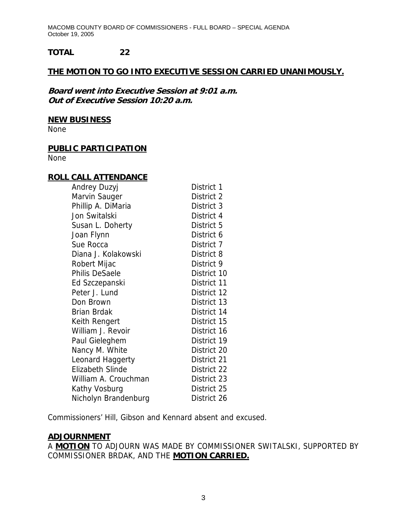MACOMB COUNTY BOARD OF COMMISSIONERS - FULL BOARD – SPECIAL AGENDA October 19, 2005

# **TOTAL 22**

# **THE MOTION TO GO INTO EXECUTIVE SESSION CARRIED UNANIMOUSLY.**

**Board went into Executive Session at 9:01 a.m. Out of Executive Session 10:20 a.m.** 

#### **NEW BUSINESS**

None

# **PUBLIC PARTICIPATION**

None

#### **ROLL CALL ATTENDANCE**

| Andrey Duzyj            | District 1  |
|-------------------------|-------------|
| Marvin Sauger           | District 2  |
| Phillip A. DiMaria      | District 3  |
| Jon Switalski           | District 4  |
| Susan L. Doherty        | District 5  |
| Joan Flynn              | District 6  |
| Sue Rocca               | District 7  |
| Diana J. Kolakowski     | District 8  |
| Robert Mijac            | District 9  |
| <b>Philis DeSaele</b>   | District 10 |
| Ed Szczepanski          | District 11 |
| Peter J. Lund           | District 12 |
| Don Brown               | District 13 |
| Brian Brdak             | District 14 |
| Keith Rengert           | District 15 |
| William J. Revoir       | District 16 |
| Paul Gieleghem          | District 19 |
| Nancy M. White          | District 20 |
| Leonard Haggerty        | District 21 |
| <b>Elizabeth Slinde</b> | District 22 |
| William A. Crouchman    | District 23 |
| Kathy Vosburg           | District 25 |
| Nicholyn Brandenburg    | District 26 |

Commissioners' Hill, Gibson and Kennard absent and excused.

## **ADJOURNMENT**

A **MOTION** TO ADJOURN WAS MADE BY COMMISSIONER SWITALSKI, SUPPORTED BY COMMISSIONER BRDAK, AND THE **MOTION CARRIED.**